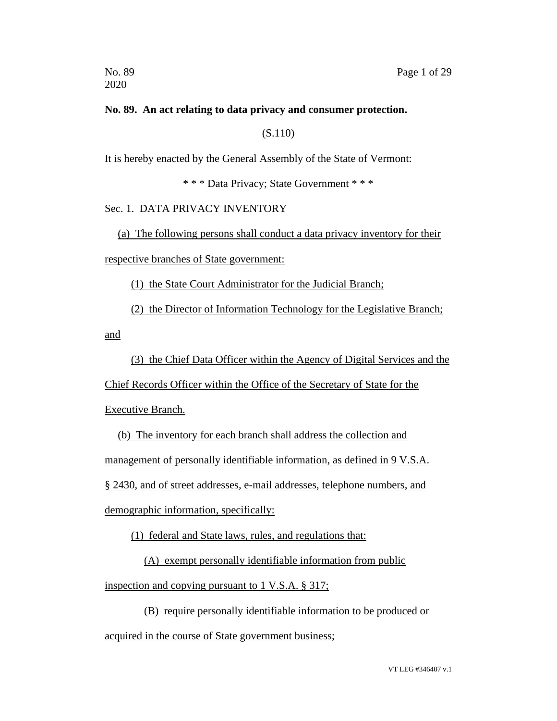# **No. 89. An act relating to data privacy and consumer protection.**

(S.110)

It is hereby enacted by the General Assembly of the State of Vermont:

\* \* \* Data Privacy; State Government \* \* \*

# Sec. 1. DATA PRIVACY INVENTORY

(a) The following persons shall conduct a data privacy inventory for their

respective branches of State government:

(1) the State Court Administrator for the Judicial Branch;

(2) the Director of Information Technology for the Legislative Branch;

and

(3) the Chief Data Officer within the Agency of Digital Services and the

Chief Records Officer within the Office of the Secretary of State for the

Executive Branch.

(b) The inventory for each branch shall address the collection and management of personally identifiable information, as defined in 9 V.S.A. § 2430, and of street addresses, e-mail addresses, telephone numbers, and demographic information, specifically:

(1) federal and State laws, rules, and regulations that:

(A) exempt personally identifiable information from public inspection and copying pursuant to 1 V.S.A. § 317;

(B) require personally identifiable information to be produced or

acquired in the course of State government business;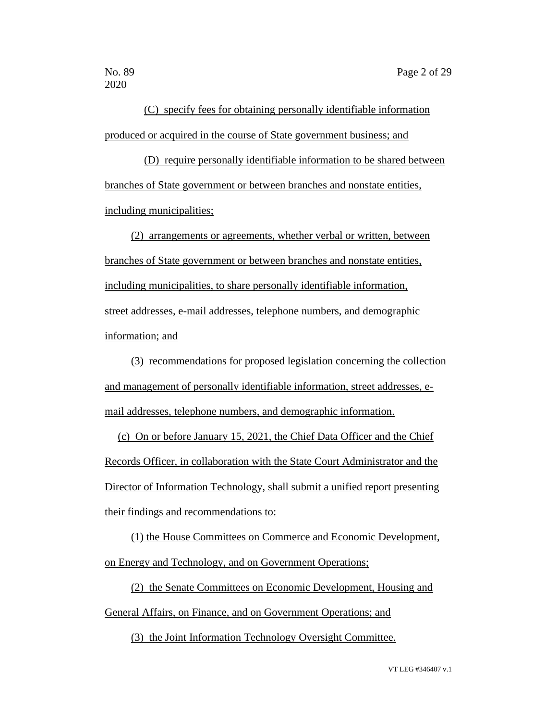(C) specify fees for obtaining personally identifiable information produced or acquired in the course of State government business; and

(D) require personally identifiable information to be shared between branches of State government or between branches and nonstate entities, including municipalities;

(2) arrangements or agreements, whether verbal or written, between branches of State government or between branches and nonstate entities, including municipalities, to share personally identifiable information, street addresses, e-mail addresses, telephone numbers, and demographic information; and

(3) recommendations for proposed legislation concerning the collection and management of personally identifiable information, street addresses, email addresses, telephone numbers, and demographic information.

(c) On or before January 15, 2021, the Chief Data Officer and the Chief Records Officer, in collaboration with the State Court Administrator and the Director of Information Technology, shall submit a unified report presenting their findings and recommendations to:

(1) the House Committees on Commerce and Economic Development, on Energy and Technology, and on Government Operations;

(2) the Senate Committees on Economic Development, Housing and General Affairs, on Finance, and on Government Operations; and

(3) the Joint Information Technology Oversight Committee.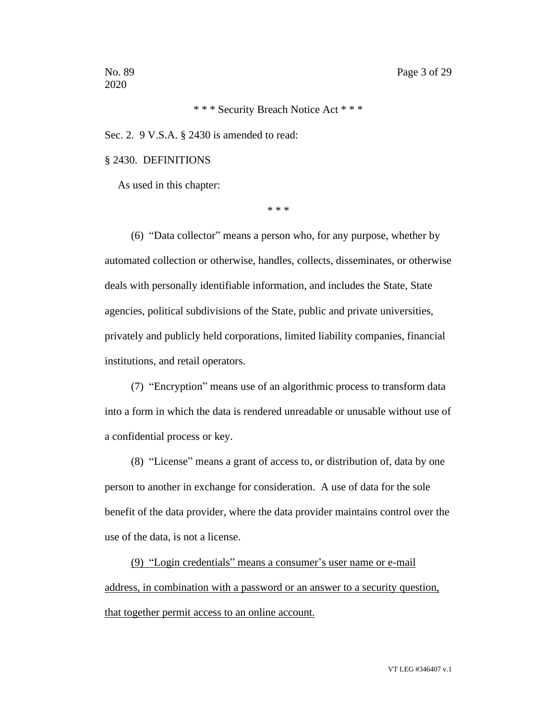\* \* \* Security Breach Notice Act \* \* \*

Sec. 2. 9 V.S.A. § 2430 is amended to read:

#### § 2430. DEFINITIONS

As used in this chapter:

\* \* \*

(6) "Data collector" means a person who, for any purpose, whether by automated collection or otherwise, handles, collects, disseminates, or otherwise deals with personally identifiable information, and includes the State, State agencies, political subdivisions of the State, public and private universities, privately and publicly held corporations, limited liability companies, financial institutions, and retail operators.

(7) "Encryption" means use of an algorithmic process to transform data into a form in which the data is rendered unreadable or unusable without use of a confidential process or key.

(8) "License" means a grant of access to, or distribution of, data by one person to another in exchange for consideration. A use of data for the sole benefit of the data provider, where the data provider maintains control over the use of the data, is not a license.

(9) "Login credentials" means a consumer's user name or e-mail address, in combination with a password or an answer to a security question, that together permit access to an online account.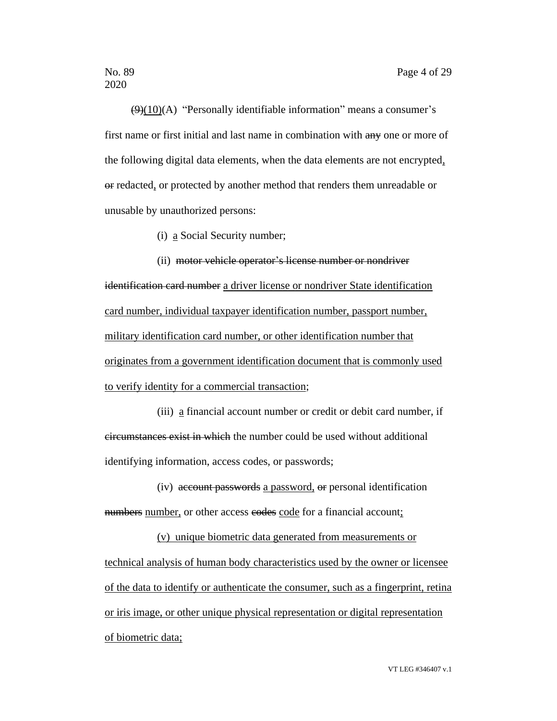$(9)(10)(A)$  "Personally identifiable information" means a consumer's first name or first initial and last name in combination with any one or more of the following digital data elements, when the data elements are not encrypted, or redacted, or protected by another method that renders them unreadable or unusable by unauthorized persons:

(i) a Social Security number;

(ii) motor vehicle operator's license number or nondriver identification card number a driver license or nondriver State identification card number, individual taxpayer identification number, passport number, military identification card number, or other identification number that originates from a government identification document that is commonly used to verify identity for a commercial transaction;

(iii) a financial account number or credit or debit card number, if circumstances exist in which the number could be used without additional identifying information, access codes, or passwords;

(iv) account passwords a password, or personal identification numbers number, or other access eodes code for a financial account;

(v) unique biometric data generated from measurements or technical analysis of human body characteristics used by the owner or licensee of the data to identify or authenticate the consumer, such as a fingerprint, retina or iris image, or other unique physical representation or digital representation of biometric data;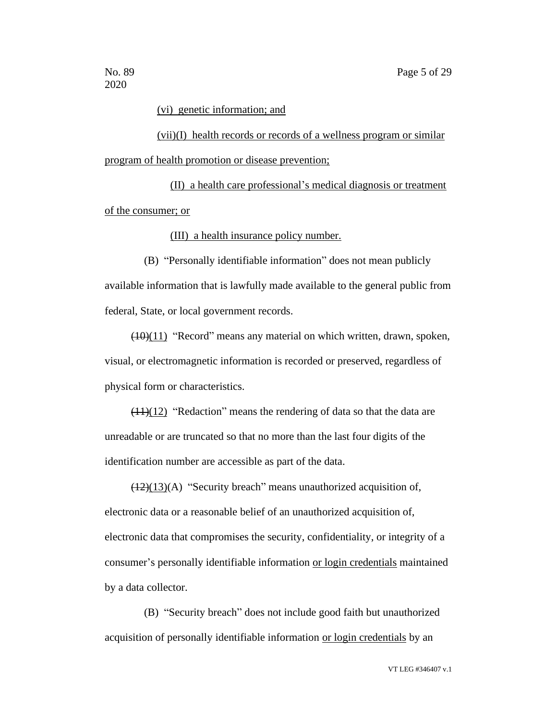#### (vi) genetic information; and

(vii)(I) health records or records of a wellness program or similar program of health promotion or disease prevention;

(II) a health care professional's medical diagnosis or treatment of the consumer; or

(III) a health insurance policy number.

(B) "Personally identifiable information" does not mean publicly available information that is lawfully made available to the general public from federal, State, or local government records.

(10)(11) "Record" means any material on which written, drawn, spoken, visual, or electromagnetic information is recorded or preserved, regardless of physical form or characteristics.

 $(11)(12)$  "Redaction" means the rendering of data so that the data are unreadable or are truncated so that no more than the last four digits of the identification number are accessible as part of the data.

 $(12)(13)(A)$  "Security breach" means unauthorized acquisition of, electronic data or a reasonable belief of an unauthorized acquisition of, electronic data that compromises the security, confidentiality, or integrity of a consumer's personally identifiable information or login credentials maintained by a data collector.

(B) "Security breach" does not include good faith but unauthorized acquisition of personally identifiable information or login credentials by an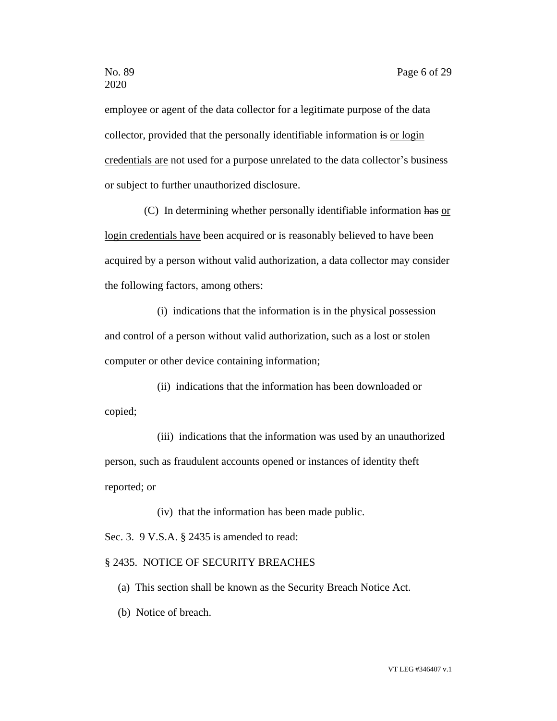employee or agent of the data collector for a legitimate purpose of the data collector, provided that the personally identifiable information is or login credentials are not used for a purpose unrelated to the data collector's business or subject to further unauthorized disclosure.

(C) In determining whether personally identifiable information has or login credentials have been acquired or is reasonably believed to have been acquired by a person without valid authorization, a data collector may consider the following factors, among others:

(i) indications that the information is in the physical possession and control of a person without valid authorization, such as a lost or stolen computer or other device containing information;

(ii) indications that the information has been downloaded or copied;

(iii) indications that the information was used by an unauthorized person, such as fraudulent accounts opened or instances of identity theft reported; or

(iv) that the information has been made public.

Sec. 3. 9 V.S.A. § 2435 is amended to read:

#### § 2435. NOTICE OF SECURITY BREACHES

- (a) This section shall be known as the Security Breach Notice Act.
- (b) Notice of breach.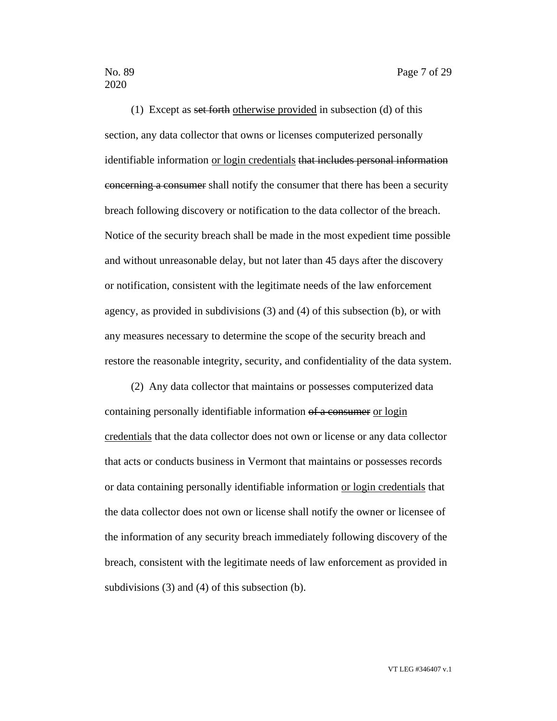(1) Except as set forth otherwise provided in subsection (d) of this section, any data collector that owns or licenses computerized personally identifiable information or login credentials that includes personal information concerning a consumer shall notify the consumer that there has been a security breach following discovery or notification to the data collector of the breach. Notice of the security breach shall be made in the most expedient time possible and without unreasonable delay, but not later than 45 days after the discovery or notification, consistent with the legitimate needs of the law enforcement agency, as provided in subdivisions (3) and (4) of this subsection (b), or with any measures necessary to determine the scope of the security breach and restore the reasonable integrity, security, and confidentiality of the data system.

(2) Any data collector that maintains or possesses computerized data containing personally identifiable information of a consumer or login credentials that the data collector does not own or license or any data collector that acts or conducts business in Vermont that maintains or possesses records or data containing personally identifiable information or login credentials that the data collector does not own or license shall notify the owner or licensee of the information of any security breach immediately following discovery of the breach, consistent with the legitimate needs of law enforcement as provided in subdivisions (3) and (4) of this subsection (b).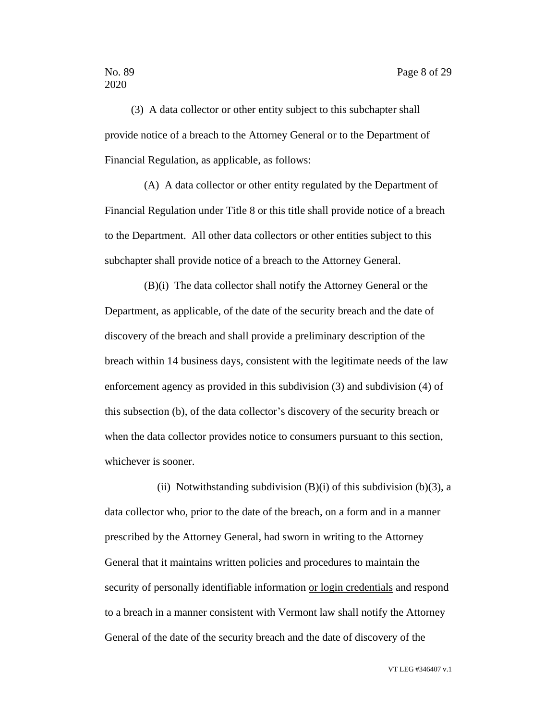(3) A data collector or other entity subject to this subchapter shall provide notice of a breach to the Attorney General or to the Department of Financial Regulation, as applicable, as follows:

(A) A data collector or other entity regulated by the Department of Financial Regulation under Title 8 or this title shall provide notice of a breach to the Department. All other data collectors or other entities subject to this subchapter shall provide notice of a breach to the Attorney General.

(B)(i) The data collector shall notify the Attorney General or the Department, as applicable, of the date of the security breach and the date of discovery of the breach and shall provide a preliminary description of the breach within 14 business days, consistent with the legitimate needs of the law enforcement agency as provided in this subdivision (3) and subdivision (4) of this subsection (b), of the data collector's discovery of the security breach or when the data collector provides notice to consumers pursuant to this section, whichever is sooner.

(ii) Notwithstanding subdivision  $(B)(i)$  of this subdivision  $(b)(3)$ , a data collector who, prior to the date of the breach, on a form and in a manner prescribed by the Attorney General, had sworn in writing to the Attorney General that it maintains written policies and procedures to maintain the security of personally identifiable information or login credentials and respond to a breach in a manner consistent with Vermont law shall notify the Attorney General of the date of the security breach and the date of discovery of the

VT LEG #346407 v.1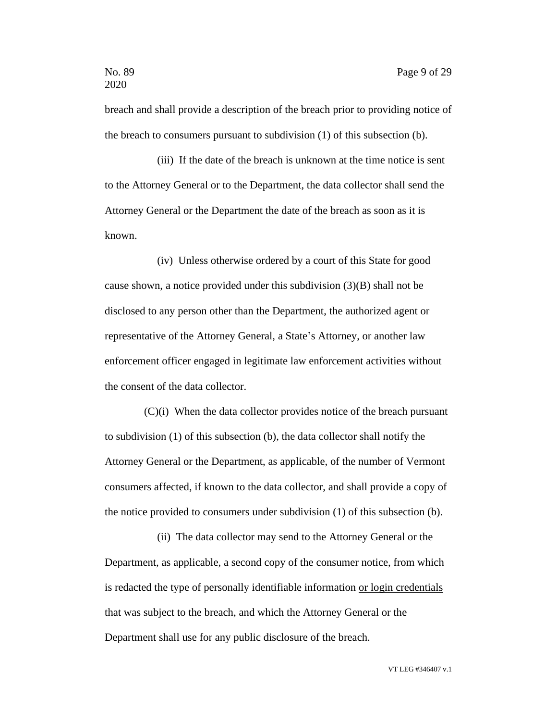breach and shall provide a description of the breach prior to providing notice of the breach to consumers pursuant to subdivision (1) of this subsection (b).

(iii) If the date of the breach is unknown at the time notice is sent to the Attorney General or to the Department, the data collector shall send the Attorney General or the Department the date of the breach as soon as it is known.

(iv) Unless otherwise ordered by a court of this State for good cause shown, a notice provided under this subdivision (3)(B) shall not be disclosed to any person other than the Department, the authorized agent or representative of the Attorney General, a State's Attorney, or another law enforcement officer engaged in legitimate law enforcement activities without the consent of the data collector.

(C)(i) When the data collector provides notice of the breach pursuant to subdivision (1) of this subsection (b), the data collector shall notify the Attorney General or the Department, as applicable, of the number of Vermont consumers affected, if known to the data collector, and shall provide a copy of the notice provided to consumers under subdivision (1) of this subsection (b).

(ii) The data collector may send to the Attorney General or the Department, as applicable, a second copy of the consumer notice, from which is redacted the type of personally identifiable information or login credentials that was subject to the breach, and which the Attorney General or the Department shall use for any public disclosure of the breach.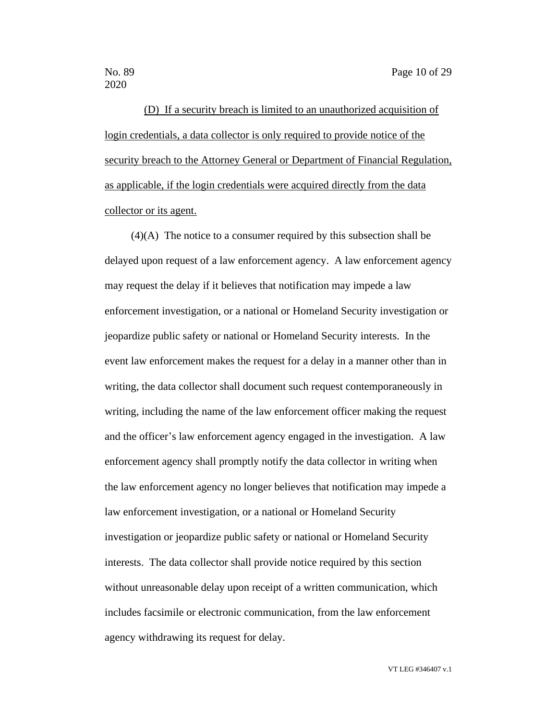(D) If a security breach is limited to an unauthorized acquisition of login credentials, a data collector is only required to provide notice of the security breach to the Attorney General or Department of Financial Regulation, as applicable, if the login credentials were acquired directly from the data collector or its agent.

(4)(A) The notice to a consumer required by this subsection shall be delayed upon request of a law enforcement agency. A law enforcement agency may request the delay if it believes that notification may impede a law enforcement investigation, or a national or Homeland Security investigation or jeopardize public safety or national or Homeland Security interests. In the event law enforcement makes the request for a delay in a manner other than in writing, the data collector shall document such request contemporaneously in writing, including the name of the law enforcement officer making the request and the officer's law enforcement agency engaged in the investigation. A law enforcement agency shall promptly notify the data collector in writing when the law enforcement agency no longer believes that notification may impede a law enforcement investigation, or a national or Homeland Security investigation or jeopardize public safety or national or Homeland Security interests. The data collector shall provide notice required by this section without unreasonable delay upon receipt of a written communication, which includes facsimile or electronic communication, from the law enforcement agency withdrawing its request for delay.

VT LEG #346407 v.1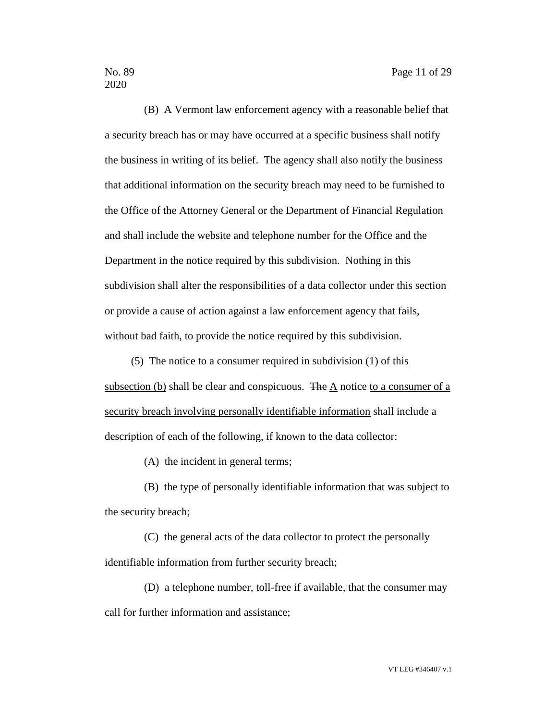(B) A Vermont law enforcement agency with a reasonable belief that a security breach has or may have occurred at a specific business shall notify the business in writing of its belief. The agency shall also notify the business that additional information on the security breach may need to be furnished to the Office of the Attorney General or the Department of Financial Regulation and shall include the website and telephone number for the Office and the Department in the notice required by this subdivision. Nothing in this subdivision shall alter the responsibilities of a data collector under this section or provide a cause of action against a law enforcement agency that fails, without bad faith, to provide the notice required by this subdivision.

(5) The notice to a consumer required in subdivision (1) of this subsection (b) shall be clear and conspicuous. The  $\underline{A}$  notice to a consumer of a security breach involving personally identifiable information shall include a description of each of the following, if known to the data collector:

(A) the incident in general terms;

(B) the type of personally identifiable information that was subject to the security breach;

(C) the general acts of the data collector to protect the personally identifiable information from further security breach;

(D) a telephone number, toll-free if available, that the consumer may call for further information and assistance;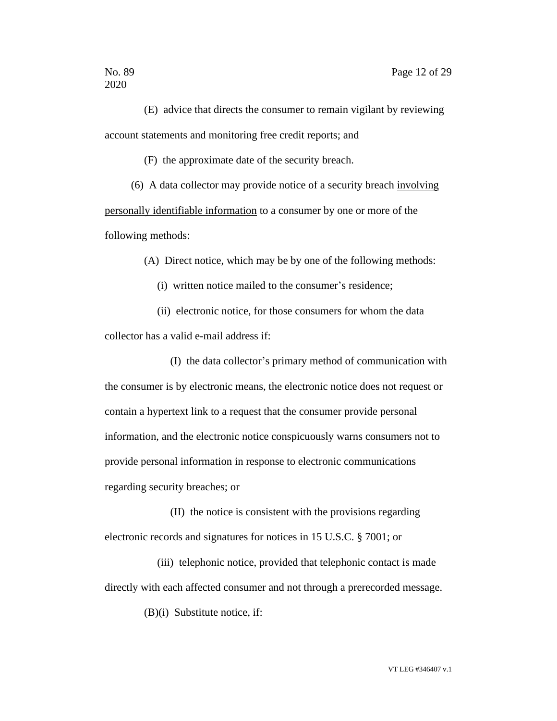(E) advice that directs the consumer to remain vigilant by reviewing account statements and monitoring free credit reports; and

(F) the approximate date of the security breach.

(6) A data collector may provide notice of a security breach involving personally identifiable information to a consumer by one or more of the following methods:

(A) Direct notice, which may be by one of the following methods:

(i) written notice mailed to the consumer's residence;

(ii) electronic notice, for those consumers for whom the data collector has a valid e-mail address if:

(I) the data collector's primary method of communication with the consumer is by electronic means, the electronic notice does not request or contain a hypertext link to a request that the consumer provide personal information, and the electronic notice conspicuously warns consumers not to provide personal information in response to electronic communications regarding security breaches; or

(II) the notice is consistent with the provisions regarding electronic records and signatures for notices in 15 U.S.C. § 7001; or

(iii) telephonic notice, provided that telephonic contact is made directly with each affected consumer and not through a prerecorded message.

(B)(i) Substitute notice, if: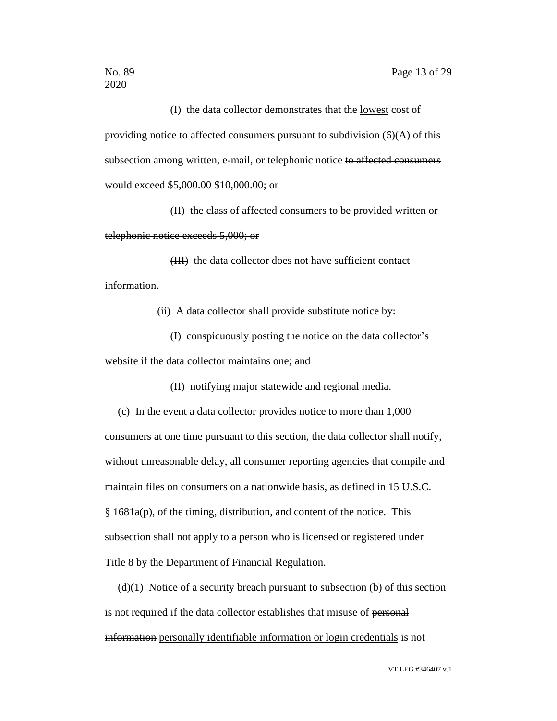(I) the data collector demonstrates that the lowest cost of providing notice to affected consumers pursuant to subdivision  $(6)(A)$  of this subsection among written, e-mail, or telephonic notice to affected consumers would exceed \$5,000.00 \$10,000.00; or

(II) the class of affected consumers to be provided written or telephonic notice exceeds 5,000; or

(III) the data collector does not have sufficient contact information.

(ii) A data collector shall provide substitute notice by:

(I) conspicuously posting the notice on the data collector's website if the data collector maintains one; and

(II) notifying major statewide and regional media.

(c) In the event a data collector provides notice to more than 1,000 consumers at one time pursuant to this section, the data collector shall notify, without unreasonable delay, all consumer reporting agencies that compile and maintain files on consumers on a nationwide basis, as defined in 15 U.S.C. § 1681a(p), of the timing, distribution, and content of the notice. This subsection shall not apply to a person who is licensed or registered under Title 8 by the Department of Financial Regulation.

 $(d)(1)$  Notice of a security breach pursuant to subsection (b) of this section is not required if the data collector establishes that misuse of personal information personally identifiable information or login credentials is not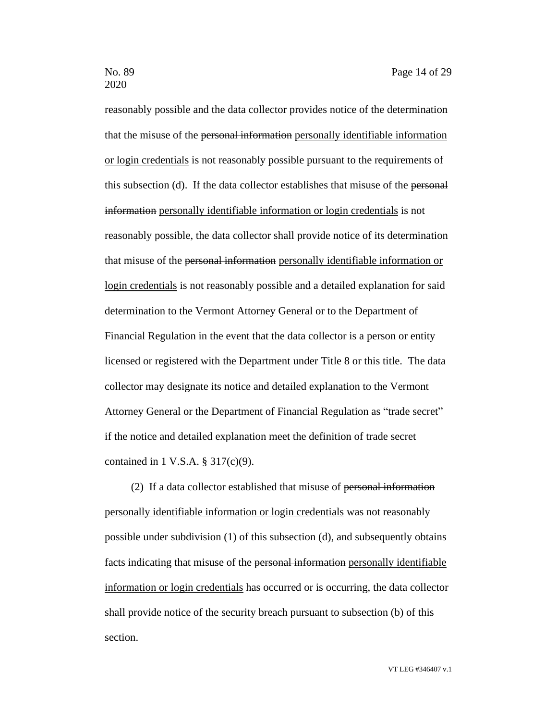reasonably possible and the data collector provides notice of the determination that the misuse of the personal information personally identifiable information or login credentials is not reasonably possible pursuant to the requirements of this subsection (d). If the data collector establishes that misuse of the personal information personally identifiable information or login credentials is not reasonably possible, the data collector shall provide notice of its determination that misuse of the personal information personally identifiable information or login credentials is not reasonably possible and a detailed explanation for said determination to the Vermont Attorney General or to the Department of Financial Regulation in the event that the data collector is a person or entity licensed or registered with the Department under Title 8 or this title. The data collector may designate its notice and detailed explanation to the Vermont Attorney General or the Department of Financial Regulation as "trade secret" if the notice and detailed explanation meet the definition of trade secret contained in 1 V.S.A. § 317(c)(9).

(2) If a data collector established that misuse of personal information personally identifiable information or login credentials was not reasonably possible under subdivision (1) of this subsection (d), and subsequently obtains facts indicating that misuse of the personal information personally identifiable information or login credentials has occurred or is occurring, the data collector shall provide notice of the security breach pursuant to subsection (b) of this section.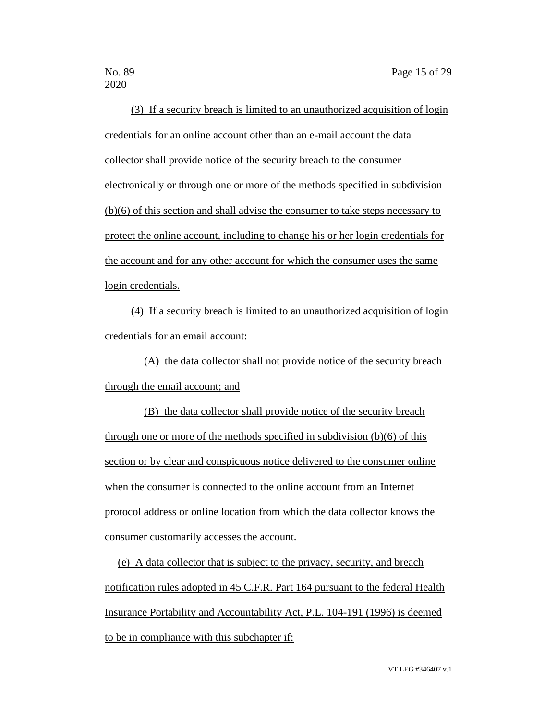(3) If a security breach is limited to an unauthorized acquisition of login credentials for an online account other than an e-mail account the data collector shall provide notice of the security breach to the consumer electronically or through one or more of the methods specified in subdivision (b)(6) of this section and shall advise the consumer to take steps necessary to protect the online account, including to change his or her login credentials for the account and for any other account for which the consumer uses the same login credentials.

(4) If a security breach is limited to an unauthorized acquisition of login credentials for an email account:

(A) the data collector shall not provide notice of the security breach through the email account; and

(B) the data collector shall provide notice of the security breach through one or more of the methods specified in subdivision (b)(6) of this section or by clear and conspicuous notice delivered to the consumer online when the consumer is connected to the online account from an Internet protocol address or online location from which the data collector knows the consumer customarily accesses the account.

(e) A data collector that is subject to the privacy, security, and breach notification rules adopted in 45 C.F.R. Part 164 pursuant to the federal Health Insurance Portability and Accountability Act, P.L. 104-191 (1996) is deemed to be in compliance with this subchapter if:

VT LEG #346407 v.1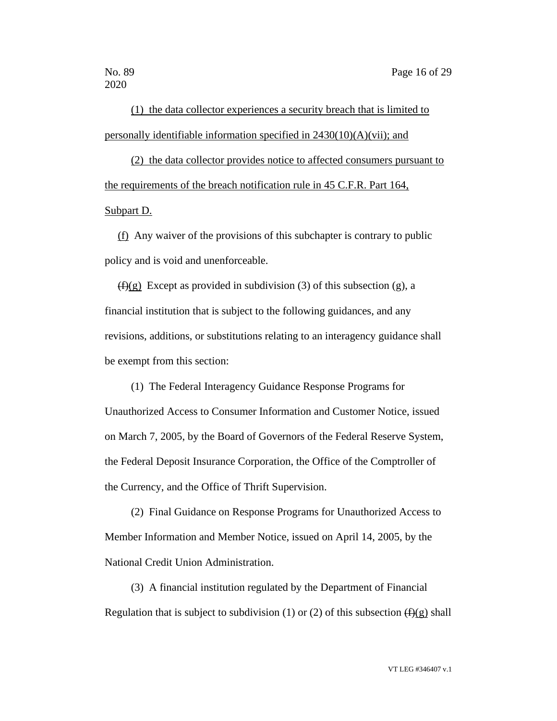(1) the data collector experiences a security breach that is limited to personally identifiable information specified in 2430(10)(A)(vii); and

(2) the data collector provides notice to affected consumers pursuant to the requirements of the breach notification rule in 45 C.F.R. Part 164, Subpart D.

(f) Any waiver of the provisions of this subchapter is contrary to public policy and is void and unenforceable.

 $(f)(g)$  Except as provided in subdivision (3) of this subsection (g), a financial institution that is subject to the following guidances, and any revisions, additions, or substitutions relating to an interagency guidance shall be exempt from this section:

(1) The Federal Interagency Guidance Response Programs for Unauthorized Access to Consumer Information and Customer Notice, issued on March 7, 2005, by the Board of Governors of the Federal Reserve System, the Federal Deposit Insurance Corporation, the Office of the Comptroller of the Currency, and the Office of Thrift Supervision.

(2) Final Guidance on Response Programs for Unauthorized Access to Member Information and Member Notice, issued on April 14, 2005, by the National Credit Union Administration.

(3) A financial institution regulated by the Department of Financial Regulation that is subject to subdivision (1) or (2) of this subsection  $(f)(g)$  shall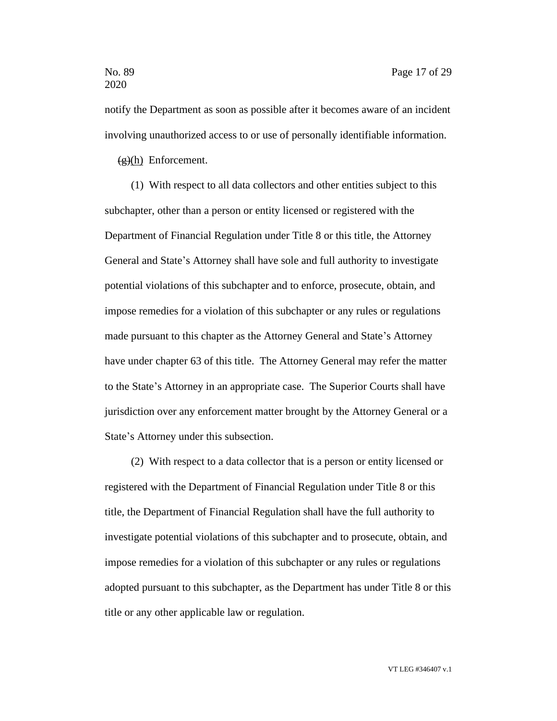notify the Department as soon as possible after it becomes aware of an incident involving unauthorized access to or use of personally identifiable information.

 $(g)(h)$  Enforcement.

(1) With respect to all data collectors and other entities subject to this subchapter, other than a person or entity licensed or registered with the Department of Financial Regulation under Title 8 or this title, the Attorney General and State's Attorney shall have sole and full authority to investigate potential violations of this subchapter and to enforce, prosecute, obtain, and impose remedies for a violation of this subchapter or any rules or regulations made pursuant to this chapter as the Attorney General and State's Attorney have under chapter 63 of this title. The Attorney General may refer the matter to the State's Attorney in an appropriate case. The Superior Courts shall have jurisdiction over any enforcement matter brought by the Attorney General or a State's Attorney under this subsection.

(2) With respect to a data collector that is a person or entity licensed or registered with the Department of Financial Regulation under Title 8 or this title, the Department of Financial Regulation shall have the full authority to investigate potential violations of this subchapter and to prosecute, obtain, and impose remedies for a violation of this subchapter or any rules or regulations adopted pursuant to this subchapter, as the Department has under Title 8 or this title or any other applicable law or regulation.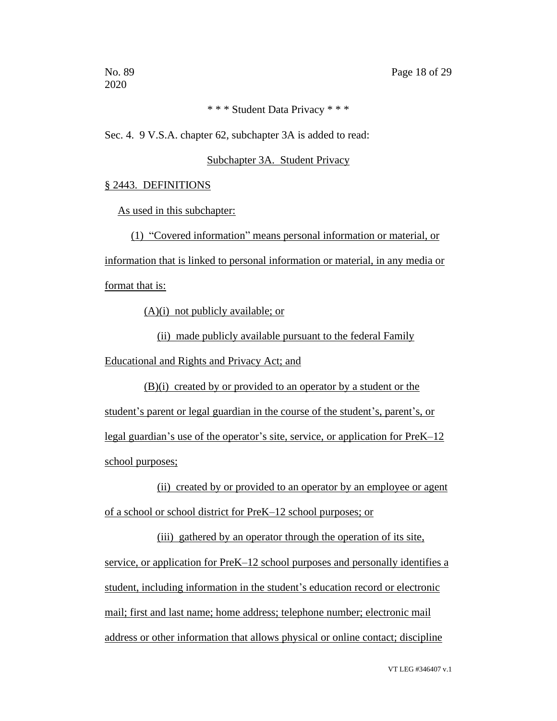# \* \* \* Student Data Privacy \* \* \*

Sec. 4. 9 V.S.A. chapter 62, subchapter 3A is added to read:

#### Subchapter 3A. Student Privacy

#### § 2443. DEFINITIONS

As used in this subchapter:

(1) "Covered information" means personal information or material, or

information that is linked to personal information or material, in any media or

format that is:

(A)(i) not publicly available; or

(ii) made publicly available pursuant to the federal Family Educational and Rights and Privacy Act; and

(B)(i) created by or provided to an operator by a student or the student's parent or legal guardian in the course of the student's, parent's, or legal guardian's use of the operator's site, service, or application for PreK–12 school purposes;

(ii) created by or provided to an operator by an employee or agent of a school or school district for PreK–12 school purposes; or

(iii) gathered by an operator through the operation of its site, service, or application for PreK–12 school purposes and personally identifies a student, including information in the student's education record or electronic mail; first and last name; home address; telephone number; electronic mail address or other information that allows physical or online contact; discipline

VT LEG #346407 v.1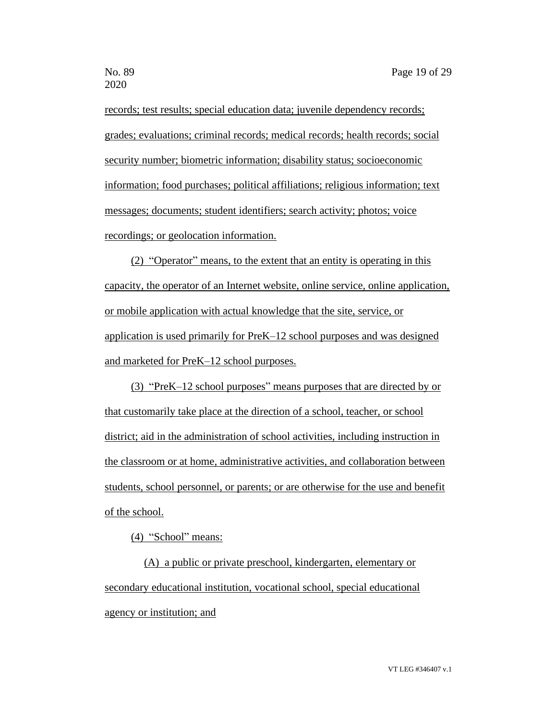records; test results; special education data; juvenile dependency records; grades; evaluations; criminal records; medical records; health records; social security number; biometric information; disability status; socioeconomic information; food purchases; political affiliations; religious information; text messages; documents; student identifiers; search activity; photos; voice recordings; or geolocation information.

(2) "Operator" means, to the extent that an entity is operating in this capacity, the operator of an Internet website, online service, online application, or mobile application with actual knowledge that the site, service, or application is used primarily for PreK–12 school purposes and was designed and marketed for PreK–12 school purposes.

(3) "PreK–12 school purposes" means purposes that are directed by or that customarily take place at the direction of a school, teacher, or school district; aid in the administration of school activities, including instruction in the classroom or at home, administrative activities, and collaboration between students, school personnel, or parents; or are otherwise for the use and benefit of the school.

(4) "School" means:

(A) a public or private preschool, kindergarten, elementary or secondary educational institution, vocational school, special educational agency or institution; and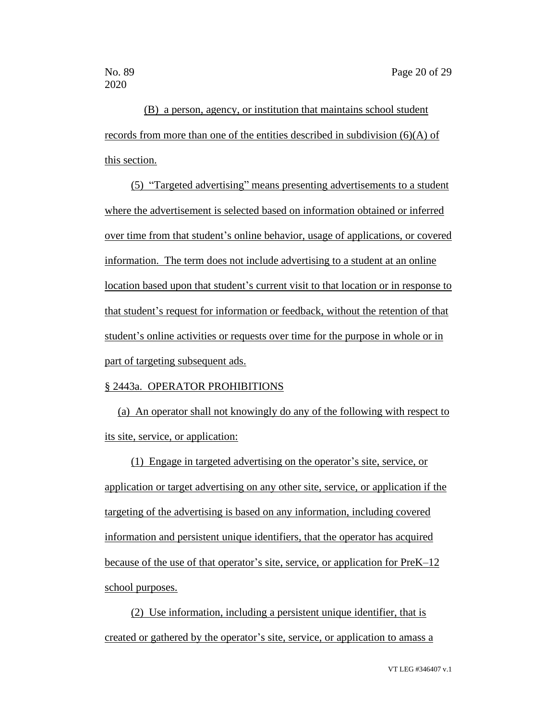(B) a person, agency, or institution that maintains school student records from more than one of the entities described in subdivision (6)(A) of this section.

(5) "Targeted advertising" means presenting advertisements to a student where the advertisement is selected based on information obtained or inferred over time from that student's online behavior, usage of applications, or covered information. The term does not include advertising to a student at an online location based upon that student's current visit to that location or in response to that student's request for information or feedback, without the retention of that student's online activities or requests over time for the purpose in whole or in part of targeting subsequent ads.

#### § 2443a. OPERATOR PROHIBITIONS

(a) An operator shall not knowingly do any of the following with respect to its site, service, or application:

(1) Engage in targeted advertising on the operator's site, service, or application or target advertising on any other site, service, or application if the targeting of the advertising is based on any information, including covered information and persistent unique identifiers, that the operator has acquired because of the use of that operator's site, service, or application for PreK–12 school purposes.

(2) Use information, including a persistent unique identifier, that is created or gathered by the operator's site, service, or application to amass a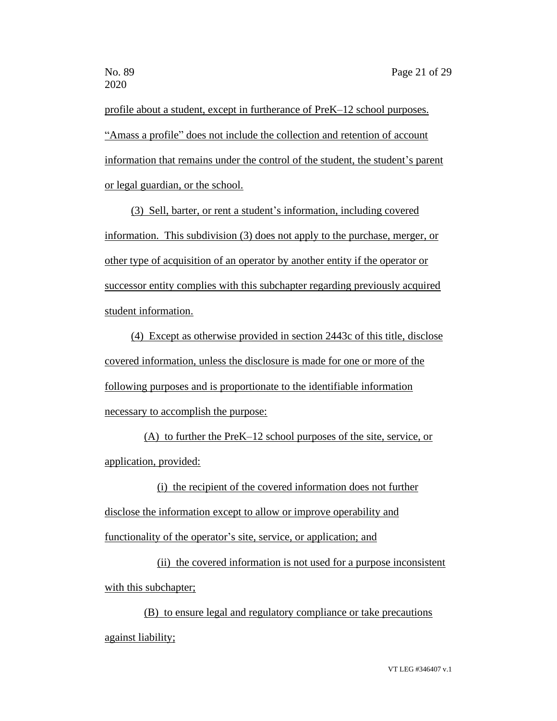profile about a student, except in furtherance of PreK–12 school purposes. "Amass a profile" does not include the collection and retention of account information that remains under the control of the student, the student's parent or legal guardian, or the school.

(3) Sell, barter, or rent a student's information, including covered information. This subdivision (3) does not apply to the purchase, merger, or other type of acquisition of an operator by another entity if the operator or successor entity complies with this subchapter regarding previously acquired student information.

(4) Except as otherwise provided in section 2443c of this title, disclose covered information, unless the disclosure is made for one or more of the following purposes and is proportionate to the identifiable information necessary to accomplish the purpose:

(A) to further the PreK–12 school purposes of the site, service, or application, provided:

(i) the recipient of the covered information does not further disclose the information except to allow or improve operability and functionality of the operator's site, service, or application; and

(ii) the covered information is not used for a purpose inconsistent with this subchapter;

(B) to ensure legal and regulatory compliance or take precautions against liability;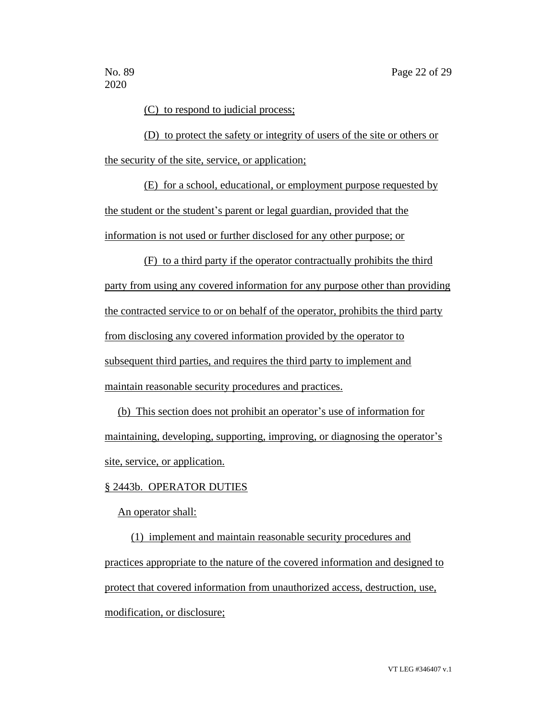(C) to respond to judicial process;

(D) to protect the safety or integrity of users of the site or others or the security of the site, service, or application;

(E) for a school, educational, or employment purpose requested by the student or the student's parent or legal guardian, provided that the information is not used or further disclosed for any other purpose; or

(F) to a third party if the operator contractually prohibits the third party from using any covered information for any purpose other than providing the contracted service to or on behalf of the operator, prohibits the third party from disclosing any covered information provided by the operator to subsequent third parties, and requires the third party to implement and maintain reasonable security procedures and practices.

(b) This section does not prohibit an operator's use of information for maintaining, developing, supporting, improving, or diagnosing the operator's site, service, or application.

#### § 2443b. OPERATOR DUTIES

#### An operator shall:

(1) implement and maintain reasonable security procedures and practices appropriate to the nature of the covered information and designed to protect that covered information from unauthorized access, destruction, use, modification, or disclosure;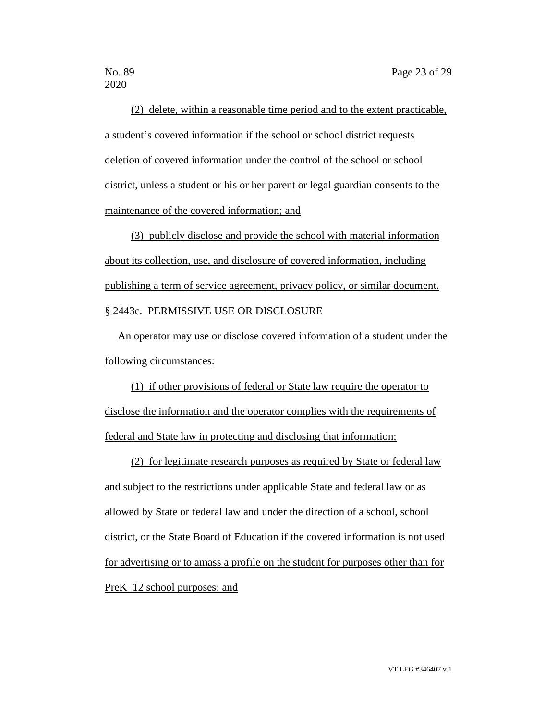(2) delete, within a reasonable time period and to the extent practicable, a student's covered information if the school or school district requests deletion of covered information under the control of the school or school district, unless a student or his or her parent or legal guardian consents to the maintenance of the covered information; and

(3) publicly disclose and provide the school with material information about its collection, use, and disclosure of covered information, including publishing a term of service agreement, privacy policy, or similar document. § 2443c. PERMISSIVE USE OR DISCLOSURE

An operator may use or disclose covered information of a student under the following circumstances:

(1) if other provisions of federal or State law require the operator to disclose the information and the operator complies with the requirements of federal and State law in protecting and disclosing that information;

(2) for legitimate research purposes as required by State or federal law and subject to the restrictions under applicable State and federal law or as allowed by State or federal law and under the direction of a school, school district, or the State Board of Education if the covered information is not used for advertising or to amass a profile on the student for purposes other than for PreK–12 school purposes; and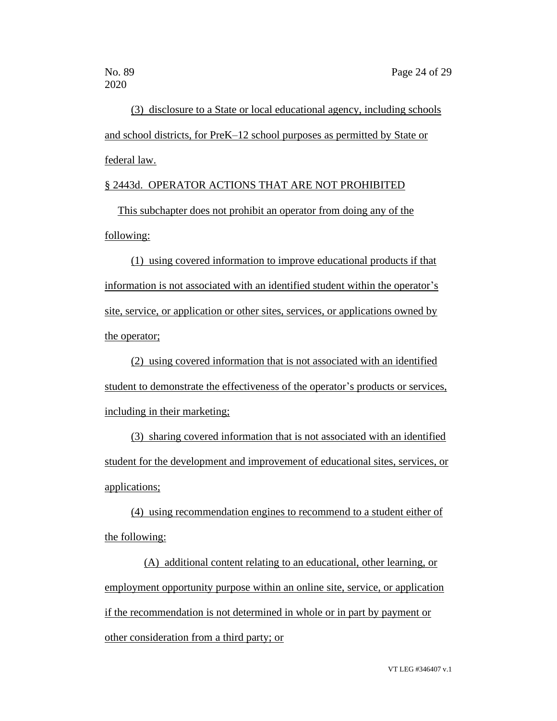(3) disclosure to a State or local educational agency, including schools and school districts, for PreK–12 school purposes as permitted by State or federal law.

# § 2443d. OPERATOR ACTIONS THAT ARE NOT PROHIBITED

This subchapter does not prohibit an operator from doing any of the following:

(1) using covered information to improve educational products if that information is not associated with an identified student within the operator's site, service, or application or other sites, services, or applications owned by the operator;

(2) using covered information that is not associated with an identified student to demonstrate the effectiveness of the operator's products or services, including in their marketing;

(3) sharing covered information that is not associated with an identified student for the development and improvement of educational sites, services, or applications;

(4) using recommendation engines to recommend to a student either of the following:

(A) additional content relating to an educational, other learning, or employment opportunity purpose within an online site, service, or application if the recommendation is not determined in whole or in part by payment or other consideration from a third party; or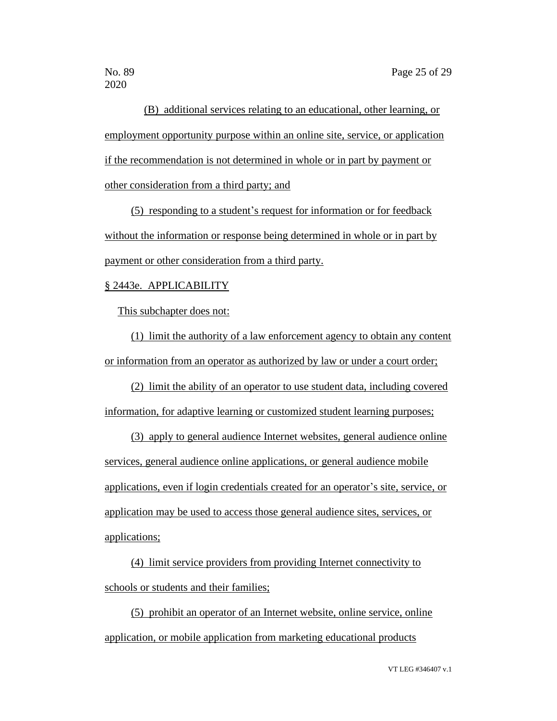(B) additional services relating to an educational, other learning, or employment opportunity purpose within an online site, service, or application if the recommendation is not determined in whole or in part by payment or other consideration from a third party; and

(5) responding to a student's request for information or for feedback without the information or response being determined in whole or in part by payment or other consideration from a third party.

#### § 2443e. APPLICABILITY

This subchapter does not:

(1) limit the authority of a law enforcement agency to obtain any content or information from an operator as authorized by law or under a court order;

(2) limit the ability of an operator to use student data, including covered information, for adaptive learning or customized student learning purposes;

(3) apply to general audience Internet websites, general audience online services, general audience online applications, or general audience mobile applications, even if login credentials created for an operator's site, service, or application may be used to access those general audience sites, services, or applications;

(4) limit service providers from providing Internet connectivity to schools or students and their families;

(5) prohibit an operator of an Internet website, online service, online application, or mobile application from marketing educational products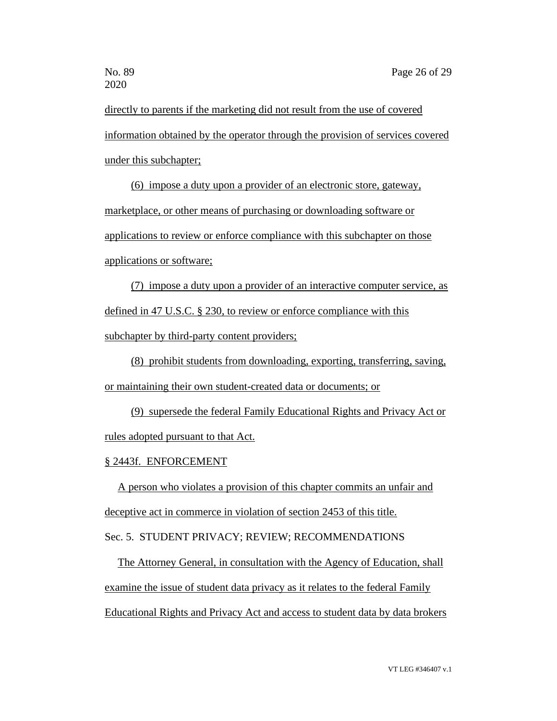directly to parents if the marketing did not result from the use of covered information obtained by the operator through the provision of services covered under this subchapter;

(6) impose a duty upon a provider of an electronic store, gateway, marketplace, or other means of purchasing or downloading software or applications to review or enforce compliance with this subchapter on those applications or software;

(7) impose a duty upon a provider of an interactive computer service, as defined in 47 U.S.C. § 230, to review or enforce compliance with this subchapter by third-party content providers;

(8) prohibit students from downloading, exporting, transferring, saving, or maintaining their own student-created data or documents; or

(9) supersede the federal Family Educational Rights and Privacy Act or rules adopted pursuant to that Act.

#### § 2443f. ENFORCEMENT

A person who violates a provision of this chapter commits an unfair and deceptive act in commerce in violation of section 2453 of this title.

Sec. 5. STUDENT PRIVACY; REVIEW; RECOMMENDATIONS

The Attorney General, in consultation with the Agency of Education, shall examine the issue of student data privacy as it relates to the federal Family Educational Rights and Privacy Act and access to student data by data brokers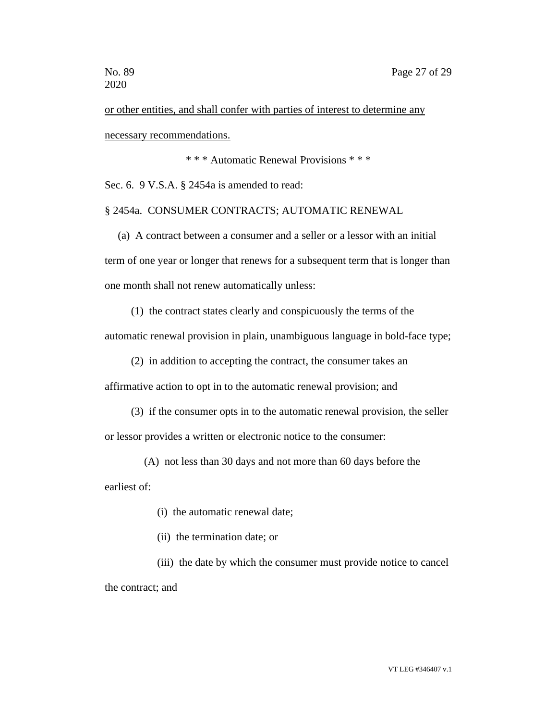or other entities, and shall confer with parties of interest to determine any necessary recommendations.

\* \* \* Automatic Renewal Provisions \* \* \*

Sec. 6. 9 V.S.A. § 2454a is amended to read:

# § 2454a. CONSUMER CONTRACTS; AUTOMATIC RENEWAL

(a) A contract between a consumer and a seller or a lessor with an initial term of one year or longer that renews for a subsequent term that is longer than one month shall not renew automatically unless:

(1) the contract states clearly and conspicuously the terms of the

automatic renewal provision in plain, unambiguous language in bold-face type;

(2) in addition to accepting the contract, the consumer takes an

affirmative action to opt in to the automatic renewal provision; and

(3) if the consumer opts in to the automatic renewal provision, the seller

or lessor provides a written or electronic notice to the consumer:

(A) not less than 30 days and not more than 60 days before the

earliest of:

(i) the automatic renewal date;

(ii) the termination date; or

(iii) the date by which the consumer must provide notice to cancel the contract; and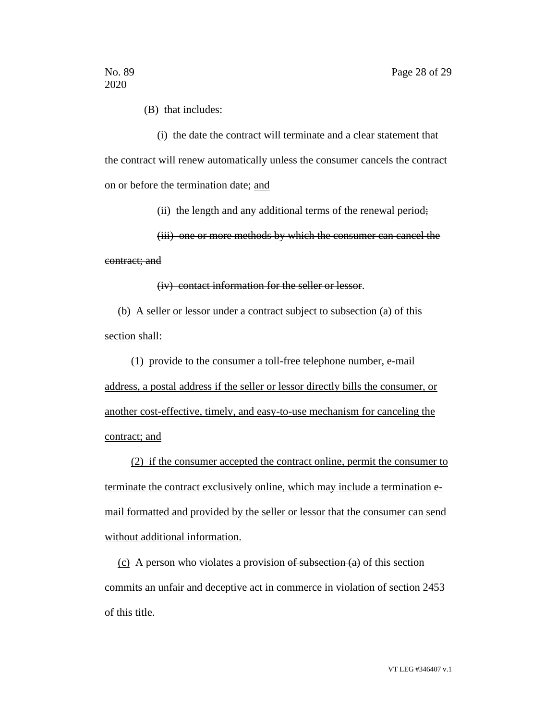(B) that includes:

(i) the date the contract will terminate and a clear statement that the contract will renew automatically unless the consumer cancels the contract on or before the termination date; and

(ii) the length and any additional terms of the renewal period;

(iii) one or more methods by which the consumer can cancel the contract; and

(iv) contact information for the seller or lessor.

(b) A seller or lessor under a contract subject to subsection (a) of this section shall:

(1) provide to the consumer a toll-free telephone number, e-mail address, a postal address if the seller or lessor directly bills the consumer, or another cost-effective, timely, and easy-to-use mechanism for canceling the contract; and

(2) if the consumer accepted the contract online, permit the consumer to terminate the contract exclusively online, which may include a termination email formatted and provided by the seller or lessor that the consumer can send without additional information.

(c) A person who violates a provision  $\theta$  subsection  $(a)$  of this section commits an unfair and deceptive act in commerce in violation of section 2453 of this title.